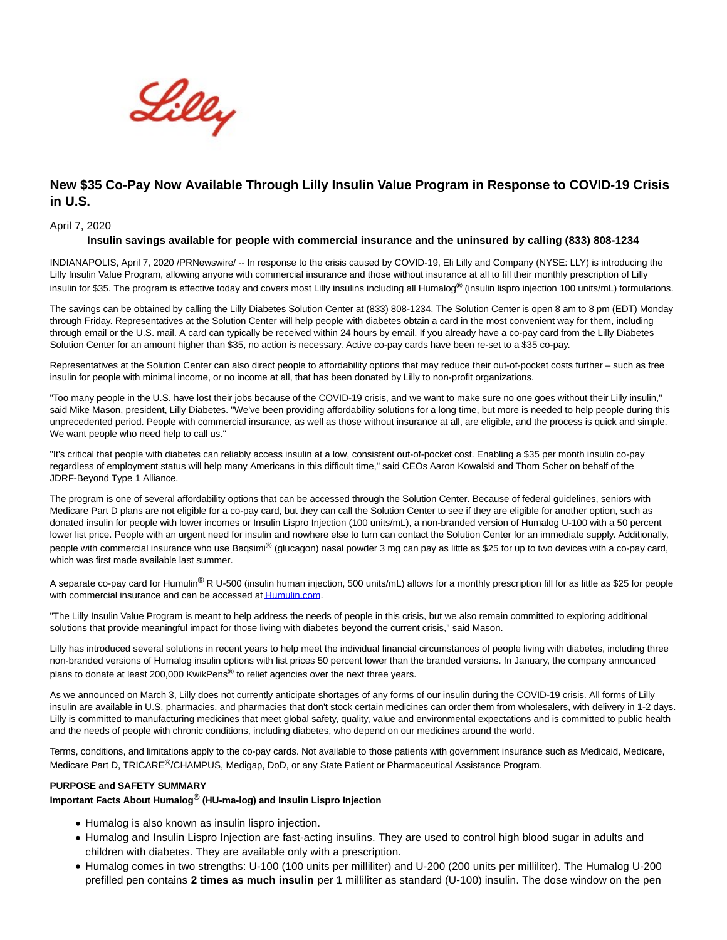

# **New \$35 Co-Pay Now Available Through Lilly Insulin Value Program in Response to COVID-19 Crisis in U.S.**

### April 7, 2020

### **Insulin savings available for people with commercial insurance and the uninsured by calling (833) 808-1234**

INDIANAPOLIS, April 7, 2020 /PRNewswire/ -- In response to the crisis caused by COVID-19, Eli Lilly and Company (NYSE: LLY) is introducing the Lilly Insulin Value Program, allowing anyone with commercial insurance and those without insurance at all to fill their monthly prescription of Lilly insulin for \$35. The program is effective today and covers most Lilly insulins including all Humalog® (insulin lispro injection 100 units/mL) formulations.

The savings can be obtained by calling the Lilly Diabetes Solution Center at (833) 808-1234. The Solution Center is open 8 am to 8 pm (EDT) Monday through Friday. Representatives at the Solution Center will help people with diabetes obtain a card in the most convenient way for them, including through email or the U.S. mail. A card can typically be received within 24 hours by email. If you already have a co-pay card from the Lilly Diabetes Solution Center for an amount higher than \$35, no action is necessary. Active co-pay cards have been re-set to a \$35 co-pay.

Representatives at the Solution Center can also direct people to affordability options that may reduce their out-of-pocket costs further – such as free insulin for people with minimal income, or no income at all, that has been donated by Lilly to non-profit organizations.

"Too many people in the U.S. have lost their jobs because of the COVID-19 crisis, and we want to make sure no one goes without their Lilly insulin," said Mike Mason, president, Lilly Diabetes. "We've been providing affordability solutions for a long time, but more is needed to help people during this unprecedented period. People with commercial insurance, as well as those without insurance at all, are eligible, and the process is quick and simple. We want people who need help to call us."

"It's critical that people with diabetes can reliably access insulin at a low, consistent out-of-pocket cost. Enabling a \$35 per month insulin co-pay regardless of employment status will help many Americans in this difficult time," said CEOs Aaron Kowalski and Thom Scher on behalf of the JDRF-Beyond Type 1 Alliance.

The program is one of several affordability options that can be accessed through the Solution Center. Because of federal guidelines, seniors with Medicare Part D plans are not eligible for a co-pay card, but they can call the Solution Center to see if they are eligible for another option, such as donated insulin for people with lower incomes or Insulin Lispro Injection (100 units/mL), a non-branded version of Humalog U-100 with a 50 percent lower list price. People with an urgent need for insulin and nowhere else to turn can contact the Solution Center for an immediate supply. Additionally, people with commercial insurance who use Baqsimi® (glucagon) nasal powder 3 mg can pay as little as \$25 for up to two devices with a co-pay card, which was first made available last summer.

A separate co-pay card for Humulin<sup>®</sup> R U-500 (insulin human injection, 500 units/mL) allows for a monthly prescription fill for as little as \$25 for people with commercial insurance and can be accessed at **Humulin.com**.

"The Lilly Insulin Value Program is meant to help address the needs of people in this crisis, but we also remain committed to exploring additional solutions that provide meaningful impact for those living with diabetes beyond the current crisis," said Mason.

Lilly has introduced several solutions in recent years to help meet the individual financial circumstances of people living with diabetes, including three non-branded versions of Humalog insulin options with list prices 50 percent lower than the branded versions. In January, the company announced plans to donate at least 200,000 KwikPens<sup>®</sup> to relief agencies over the next three years.

As we announced on March 3, Lilly does not currently anticipate shortages of any forms of our insulin during the COVID-19 crisis. All forms of Lilly insulin are available in U.S. pharmacies, and pharmacies that don't stock certain medicines can order them from wholesalers, with delivery in 1-2 days. Lilly is committed to manufacturing medicines that meet global safety, quality, value and environmental expectations and is committed to public health and the needs of people with chronic conditions, including diabetes, who depend on our medicines around the world.

Terms, conditions, and limitations apply to the co-pay cards. Not available to those patients with government insurance such as Medicaid, Medicare, Medicare Part D, TRICARE®/CHAMPUS, Medigap, DoD, or any State Patient or Pharmaceutical Assistance Program.

## **PURPOSE and SAFETY SUMMARY**

## **Important Facts About Humalog® (HU-ma-log) and Insulin Lispro Injection**

- Humalog is also known as insulin lispro injection.
- Humalog and Insulin Lispro Injection are fast-acting insulins. They are used to control high blood sugar in adults and children with diabetes. They are available only with a prescription.
- Humalog comes in two strengths: U-100 (100 units per milliliter) and U-200 (200 units per milliliter). The Humalog U-200 prefilled pen contains **2 times as much insulin** per 1 milliliter as standard (U-100) insulin. The dose window on the pen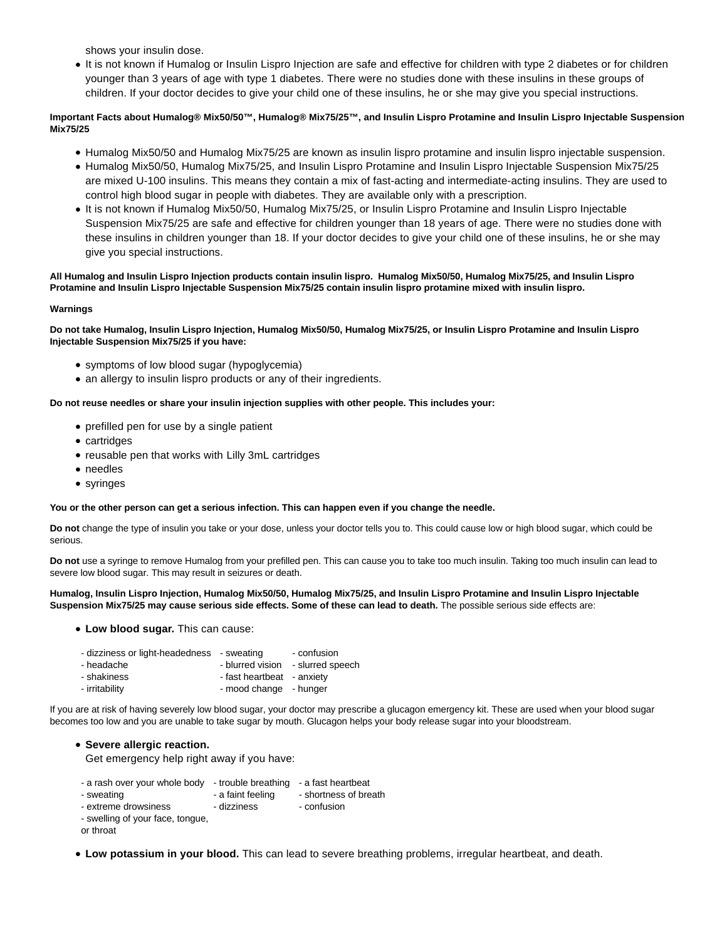shows your insulin dose.

It is not known if Humalog or Insulin Lispro Injection are safe and effective for children with type 2 diabetes or for children younger than 3 years of age with type 1 diabetes. There were no studies done with these insulins in these groups of children. If your doctor decides to give your child one of these insulins, he or she may give you special instructions.

## **Important Facts about Humalog® Mix50/50™, Humalog® Mix75/25™, and Insulin Lispro Protamine and Insulin Lispro Injectable Suspension Mix75/25**

- Humalog Mix50/50 and Humalog Mix75/25 are known as insulin lispro protamine and insulin lispro injectable suspension.
- Humalog Mix50/50, Humalog Mix75/25, and Insulin Lispro Protamine and Insulin Lispro Injectable Suspension Mix75/25 are mixed U-100 insulins. This means they contain a mix of fast-acting and intermediate-acting insulins. They are used to control high blood sugar in people with diabetes. They are available only with a prescription.
- It is not known if Humalog Mix50/50, Humalog Mix75/25, or Insulin Lispro Protamine and Insulin Lispro Injectable Suspension Mix75/25 are safe and effective for children younger than 18 years of age. There were no studies done with these insulins in children younger than 18. If your doctor decides to give your child one of these insulins, he or she may give you special instructions.

### **All Humalog and Insulin Lispro Injection products contain insulin lispro. Humalog Mix50/50, Humalog Mix75/25, and Insulin Lispro Protamine and Insulin Lispro Injectable Suspension Mix75/25 contain insulin lispro protamine mixed with insulin lispro.**

## **Warnings**

**Do not take Humalog, Insulin Lispro Injection, Humalog Mix50/50, Humalog Mix75/25, or Insulin Lispro Protamine and Insulin Lispro Injectable Suspension Mix75/25 if you have:**

- symptoms of low blood sugar (hypoglycemia)
- an allergy to insulin lispro products or any of their ingredients.

## **Do not reuse needles or share your insulin injection supplies with other people. This includes your:**

- prefilled pen for use by a single patient
- cartridges
- reusable pen that works with Lilly 3mL cartridges
- needles
- syringes

### **You or the other person can get a serious infection. This can happen even if you change the needle.**

**Do not** change the type of insulin you take or your dose, unless your doctor tells you to. This could cause low or high blood sugar, which could be serious.

**Do not** use a syringe to remove Humalog from your prefilled pen. This can cause you to take too much insulin. Taking too much insulin can lead to severe low blood sugar. This may result in seizures or death.

### **Humalog, Insulin Lispro Injection, Humalog Mix50/50, Humalog Mix75/25, and Insulin Lispro Protamine and Insulin Lispro Injectable Suspension Mix75/25 may cause serious side effects. Some of these can lead to death.** The possible serious side effects are:

- **Low blood sugar.** This can cause:
- dizziness or light-headedness sweating confusion
- headache blurred vision slurred speech
- shakiness shakiness fast heartbeat anxiety
- irritability  **mood change** hunger

If you are at risk of having severely low blood sugar, your doctor may prescribe a glucagon emergency kit. These are used when your blood sugar becomes too low and you are unable to take sugar by mouth. Glucagon helps your body release sugar into your bloodstream.

## **Severe allergic reaction.**

Get emergency help right away if you have:

- a rash over your whole body trouble breathing a fast heartbeat
- sweating example a faint feeling shortness of breath
- extreme drowsiness dizziness confusion

- swelling of your face, tongue, or throat

**Low potassium in your blood.** This can lead to severe breathing problems, irregular heartbeat, and death.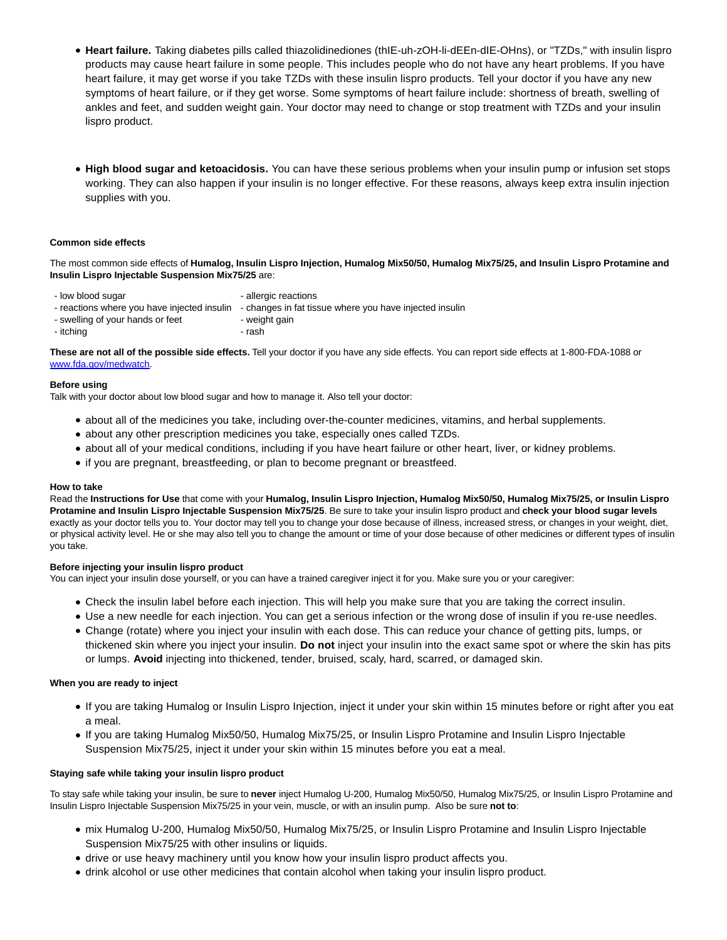- **Heart failure.** Taking diabetes pills called thiazolidinediones (thIE-uh-zOH-li-dEEn-dIE-OHns), or "TZDs," with insulin lispro products may cause heart failure in some people. This includes people who do not have any heart problems. If you have heart failure, it may get worse if you take TZDs with these insulin lispro products. Tell your doctor if you have any new symptoms of heart failure, or if they get worse. Some symptoms of heart failure include: shortness of breath, swelling of ankles and feet, and sudden weight gain. Your doctor may need to change or stop treatment with TZDs and your insulin lispro product.
- **High blood sugar and ketoacidosis.** You can have these serious problems when your insulin pump or infusion set stops working. They can also happen if your insulin is no longer effective. For these reasons, always keep extra insulin injection supplies with you.

### **Common side effects**

The most common side effects of **Humalog, Insulin Lispro Injection, Humalog Mix50/50, Humalog Mix75/25, and Insulin Lispro Protamine and Insulin Lispro Injectable Suspension Mix75/25** are:

- low blood sugar allergic reactions
- reactions where you have injected insulin changes in fat tissue where you have injected insulin
- swelling of your hands or feet weight gain
- itching contract the contract of the rash

**These are not all of the possible side effects.** Tell your doctor if you have any side effects. You can report side effects at 1-800-FDA-1088 or [www.fda.gov/medwatch.](https://c212.net/c/link/?t=0&l=en&o=2770449-1&h=466162823&u=http%3A%2F%2Fwww.fda.gov%2Fmedwatch&a=www.fda.gov%2Fmedwatch)

#### **Before using**

Talk with your doctor about low blood sugar and how to manage it. Also tell your doctor:

- about all of the medicines you take, including over-the-counter medicines, vitamins, and herbal supplements.
- about any other prescription medicines you take, especially ones called TZDs.
- about all of your medical conditions, including if you have heart failure or other heart, liver, or kidney problems.
- if you are pregnant, breastfeeding, or plan to become pregnant or breastfeed.

### **How to take**

Read the **Instructions for Use** that come with your **Humalog, Insulin Lispro Injection, Humalog Mix50/50, Humalog Mix75/25, or Insulin Lispro Protamine and Insulin Lispro Injectable Suspension Mix75/25**. Be sure to take your insulin lispro product and **check your blood sugar levels** exactly as your doctor tells you to. Your doctor may tell you to change your dose because of illness, increased stress, or changes in your weight, diet, or physical activity level. He or she may also tell you to change the amount or time of your dose because of other medicines or different types of insulin you take.

### **Before injecting your insulin lispro product**

You can inject your insulin dose yourself, or you can have a trained caregiver inject it for you. Make sure you or your caregiver:

- Check the insulin label before each injection. This will help you make sure that you are taking the correct insulin.
- Use a new needle for each injection. You can get a serious infection or the wrong dose of insulin if you re-use needles.
- Change (rotate) where you inject your insulin with each dose. This can reduce your chance of getting pits, lumps, or thickened skin where you inject your insulin. **Do not** inject your insulin into the exact same spot or where the skin has pits or lumps. **Avoid** injecting into thickened, tender, bruised, scaly, hard, scarred, or damaged skin.

### **When you are ready to inject**

- If you are taking Humalog or Insulin Lispro Injection, inject it under your skin within 15 minutes before or right after you eat a meal.
- If you are taking Humalog Mix50/50, Humalog Mix75/25, or Insulin Lispro Protamine and Insulin Lispro Injectable Suspension Mix75/25, inject it under your skin within 15 minutes before you eat a meal.

### **Staying safe while taking your insulin lispro product**

To stay safe while taking your insulin, be sure to **never** inject Humalog U-200, Humalog Mix50/50, Humalog Mix75/25, or Insulin Lispro Protamine and Insulin Lispro Injectable Suspension Mix75/25 in your vein, muscle, or with an insulin pump. Also be sure **not to**:

- mix Humalog U-200, Humalog Mix50/50, Humalog Mix75/25, or Insulin Lispro Protamine and Insulin Lispro Injectable Suspension Mix75/25 with other insulins or liquids.
- drive or use heavy machinery until you know how your insulin lispro product affects you.
- drink alcohol or use other medicines that contain alcohol when taking your insulin lispro product.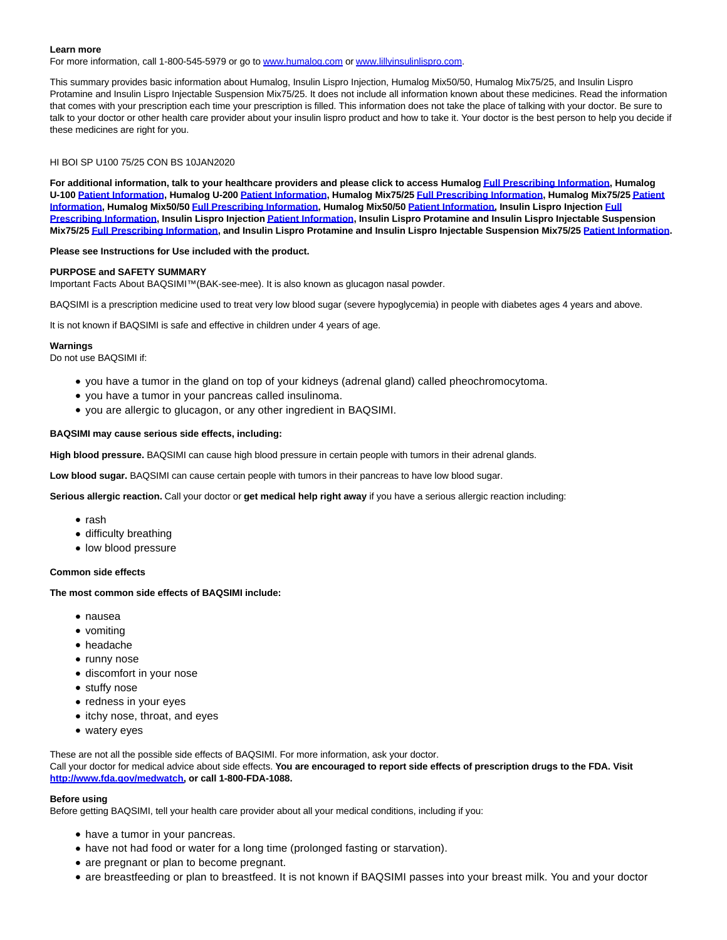#### **Learn more**

For more information, call 1-800-545-5979 or go to [www.humalog.com o](https://c212.net/c/link/?t=0&l=en&o=2770449-1&h=2231537055&u=http%3A%2F%2Fwww.humalog.com%2F&a=www.humalog.com)r [www.lillyinsulinlispro.com.](https://c212.net/c/link/?t=0&l=en&o=2770449-1&h=1471236991&u=https%3A%2F%2Fwww.lillyinsulinlispro.com%2F&a=www.lillyinsulinlispro.com)

This summary provides basic information about Humalog, Insulin Lispro Injection, Humalog Mix50/50, Humalog Mix75/25, and Insulin Lispro Protamine and Insulin Lispro Injectable Suspension Mix75/25. It does not include all information known about these medicines. Read the information that comes with your prescription each time your prescription is filled. This information does not take the place of talking with your doctor. Be sure to talk to your doctor or other health care provider about your insulin lispro product and how to take it. Your doctor is the best person to help you decide if these medicines are right for you.

#### HI BOI SP U100 75/25 CON BS 10JAN2020

**For additional information, talk to your healthcare providers and please click to access Humalo[g Full Prescribing Information,](https://c212.net/c/link/?t=0&l=en&o=2770449-1&h=4132831513&u=http%3A%2F%2Fuspl.lilly.com%2Fhumalog%2Fhumalog.html%3Fs%3Dpi&a=Full+Prescribing+Information) Humalog U-100 [Patient Information,](https://c212.net/c/link/?t=0&l=en&o=2770449-1&h=542995382&u=http%3A%2F%2Fuspl.lilly.com%2Fhumalog%2Fhumalog.html%3Fs%3Dppi0&a=Patient+Information) Humalog U-200 [Patient Information,](https://c212.net/c/link/?t=0&l=en&o=2770449-1&h=3858594606&u=http%3A%2F%2Fuspl.lilly.com%2Fhumalog%2Fhumalog.html%3FS%3Dppi1&a=Patient+Information) Humalog Mix75/2[5 Full Prescribing Information,](https://c212.net/c/link/?t=0&l=en&o=2770449-1&h=1111960150&u=http%3A%2F%2Fuspl.lilly.com%2Fhumalog7525%2Fhumalog7525.html%3Fs%3Dpi&a=Full+Prescribing+Information) Humalog Mix75/2[5 Patient](https://c212.net/c/link/?t=0&l=en&o=2770449-1&h=3523170379&u=http%3A%2F%2Fuspl.lilly.com%2Fhumalog7525%2Fhumalog7525.html%3Fs%3Dppi&a=Patient+Information) Information, Humalog Mix50/50 [Full Prescribing Information,](https://c212.net/c/link/?t=0&l=en&o=2770449-1&h=3410442885&u=http%3A%2F%2Fuspl.lilly.com%2Fhumalog5050%2Fhumalog5050.html%3Fs%3Dpi&a=Full+Prescribing+Information) Humalog Mix50/50 [Patient Information,](https://c212.net/c/link/?t=0&l=en&o=2770449-1&h=1369733292&u=http%3A%2F%2Fuspl.lilly.com%2Fhumalog5050%2Fhumalog5050.html%3FS%3Dppi&a=Patient+Information) Insulin Lispro Injection [Full](https://c212.net/c/link/?t=0&l=en&o=2770449-1&h=1893979635&u=http%3A%2F%2Fuspl.lilly.com%2Flispro%2Flispro.html%3Fs%3Dpi&a=Full+Prescribing+Information) Prescribing Information, Insulin Lispro Injectio[n Patient Information,](https://c212.net/c/link/?t=0&l=en&o=2770449-1&h=1424991495&u=http%3A%2F%2Fuspl.lilly.com%2Flispro%2Flispro.html%3Fs%3Dppi&a=Patient+Information) Insulin Lispro Protamine and Insulin Lispro Injectable Suspension Mix75/2[5 Full Prescribing Information,](https://c212.net/c/link/?t=0&l=en&o=2770449-1&h=1644459473&u=http%3A%2F%2Fuspl.lilly.com%2Flispro7525%2Flispro7525.html%3Fs%3Dpi&a=Full+Prescribing+Information) and Insulin Lispro Protamine and Insulin Lispro Injectable Suspension Mix75/25 [Patient Information.](https://c212.net/c/link/?t=0&l=en&o=2770449-1&h=3613829313&u=http%3A%2F%2Fuspl.lilly.com%2Flispro7525%2Flispro7525.html%3Fs%3Dppi&a=Patient+Information)**

#### **Please see Instructions for Use included with the product.**

#### **PURPOSE and SAFETY SUMMARY**

Important Facts About BAQSIMI™(BAK-see-mee). It is also known as glucagon nasal powder.

BAQSIMI is a prescription medicine used to treat very low blood sugar (severe hypoglycemia) in people with diabetes ages 4 years and above.

It is not known if BAQSIMI is safe and effective in children under 4 years of age.

#### **Warnings**

Do not use BAQSIMI if:

- you have a tumor in the gland on top of your kidneys (adrenal gland) called pheochromocytoma.
- you have a tumor in your pancreas called insulinoma.
- you are allergic to glucagon, or any other ingredient in BAQSIMI.

#### **BAQSIMI may cause serious side effects, including:**

**High blood pressure.** BAQSIMI can cause high blood pressure in certain people with tumors in their adrenal glands.

**Low blood sugar.** BAQSIMI can cause certain people with tumors in their pancreas to have low blood sugar.

**Serious allergic reaction.** Call your doctor or **get medical help right away** if you have a serious allergic reaction including:

- $\bullet$  rash
- difficulty breathing
- low blood pressure

#### **Common side effects**

#### **The most common side effects of BAQSIMI include:**

- nausea
- vomiting
- headache
- runny nose
- discomfort in your nose
- stuffy nose
- redness in your eyes
- itchy nose, throat, and eyes
- watery eyes

These are not all the possible side effects of BAQSIMI. For more information, ask your doctor.

Call your doctor for medical advice about side effects. **You are encouraged to report side effects of prescription drugs to the FDA. Visit [http://www.fda.gov/medwatch,](https://c212.net/c/link/?t=0&l=en&o=2770449-1&h=287455031&u=http%3A%2F%2Fwww.fda.gov%2Fmedwatch&a=http%3A%2F%2Fwww.fda.gov%2Fmedwatch) or call 1-800-FDA-1088.**

#### **Before using**

Before getting BAQSIMI, tell your health care provider about all your medical conditions, including if you:

- have a tumor in your pancreas.
- have not had food or water for a long time (prolonged fasting or starvation).
- are pregnant or plan to become pregnant.
- are breastfeeding or plan to breastfeed. It is not known if BAQSIMI passes into your breast milk. You and your doctor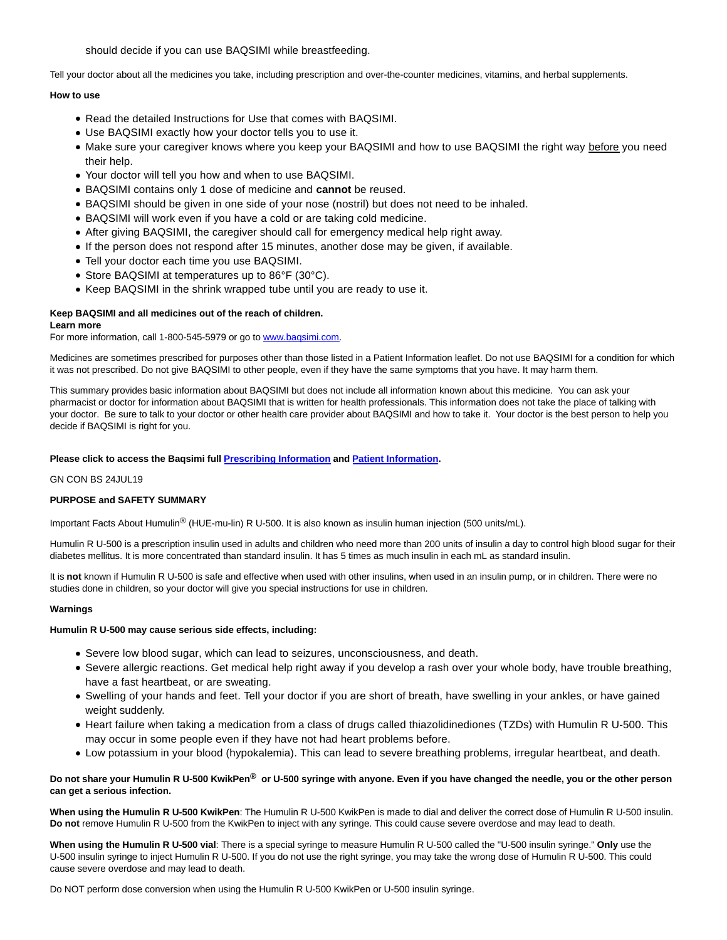should decide if you can use BAQSIMI while breastfeeding.

Tell your doctor about all the medicines you take, including prescription and over-the-counter medicines, vitamins, and herbal supplements.

### **How to use**

- Read the detailed Instructions for Use that comes with BAQSIMI.
- Use BAQSIMI exactly how your doctor tells you to use it.
- Make sure your caregiver knows where you keep your BAQSIMI and how to use BAQSIMI the right way before you need their help.
- Your doctor will tell you how and when to use BAQSIMI.
- BAQSIMI contains only 1 dose of medicine and **cannot** be reused.
- BAQSIMI should be given in one side of your nose (nostril) but does not need to be inhaled.
- BAQSIMI will work even if you have a cold or are taking cold medicine.
- After giving BAQSIMI, the caregiver should call for emergency medical help right away.
- If the person does not respond after 15 minutes, another dose may be given, if available.
- Tell your doctor each time you use BAQSIMI.
- Store BAQSIMI at temperatures up to 86°F (30°C).
- Keep BAQSIMI in the shrink wrapped tube until you are ready to use it.

#### **Keep BAQSIMI and all medicines out of the reach of children. Learn more**

For more information, call 1-800-545-5979 or go to [www.baqsimi.com.](https://c212.net/c/link/?t=0&l=en&o=2770449-1&h=2952159335&u=http%3A%2F%2Fwww.baqsimi.com%2F&a=www.baqsimi.com)

Medicines are sometimes prescribed for purposes other than those listed in a Patient Information leaflet. Do not use BAQSIMI for a condition for which it was not prescribed. Do not give BAQSIMI to other people, even if they have the same symptoms that you have. It may harm them.

This summary provides basic information about BAQSIMI but does not include all information known about this medicine. You can ask your pharmacist or doctor for information about BAQSIMI that is written for health professionals. This information does not take the place of talking with your doctor. Be sure to talk to your doctor or other health care provider about BAQSIMI and how to take it. Your doctor is the best person to help you decide if BAQSIMI is right for you.

### **Please click to access the Baqsimi full [Prescribing Information a](https://c212.net/c/link/?t=0&l=en&o=2770449-1&h=3468501525&u=http%3A%2F%2Fuspl.lilly.com%2Fbaqsimi%2Fbaqsimi.html%3Fs%3Dpi&a=Prescribing+Information)nd [Patient Information.](https://c212.net/c/link/?t=0&l=en&o=2770449-1&h=2215740996&u=http%3A%2F%2Fuspl.lilly.com%2Fbaqsimi%2Fbaqsimi.html%3Fs%3Dppi&a=Patient+Information)**

#### GN CON BS 24JUL19

### **PURPOSE and SAFETY SUMMARY**

Important Facts About Humulin® (HUE-mu-lin) R U-500. It is also known as insulin human injection (500 units/mL).

Humulin R U-500 is a prescription insulin used in adults and children who need more than 200 units of insulin a day to control high blood sugar for their diabetes mellitus. It is more concentrated than standard insulin. It has 5 times as much insulin in each mL as standard insulin.

It is **not** known if Humulin R U-500 is safe and effective when used with other insulins, when used in an insulin pump, or in children. There were no studies done in children, so your doctor will give you special instructions for use in children.

### **Warnings**

#### **Humulin R U-500 may cause serious side effects, including:**

- Severe low blood sugar, which can lead to seizures, unconsciousness, and death.
- Severe allergic reactions. Get medical help right away if you develop a rash over your whole body, have trouble breathing, have a fast heartbeat, or are sweating.
- Swelling of your hands and feet. Tell your doctor if you are short of breath, have swelling in your ankles, or have gained weight suddenly.
- Heart failure when taking a medication from a class of drugs called thiazolidinediones (TZDs) with Humulin R U-500. This may occur in some people even if they have not had heart problems before.
- Low potassium in your blood (hypokalemia). This can lead to severe breathing problems, irregular heartbeat, and death.

### **Do not share your Humulin R U-500 KwikPen® or U-500 syringe with anyone. Even if you have changed the needle, you or the other person can get a serious infection.**

**When using the Humulin R U-500 KwikPen**: The Humulin R U-500 KwikPen is made to dial and deliver the correct dose of Humulin R U-500 insulin. **Do not** remove Humulin R U-500 from the KwikPen to inject with any syringe. This could cause severe overdose and may lead to death.

**When using the Humulin R U-500 vial**: There is a special syringe to measure Humulin R U-500 called the "U-500 insulin syringe." **Only** use the U-500 insulin syringe to inject Humulin R U-500. If you do not use the right syringe, you may take the wrong dose of Humulin R U-500. This could cause severe overdose and may lead to death.

Do NOT perform dose conversion when using the Humulin R U-500 KwikPen or U-500 insulin syringe.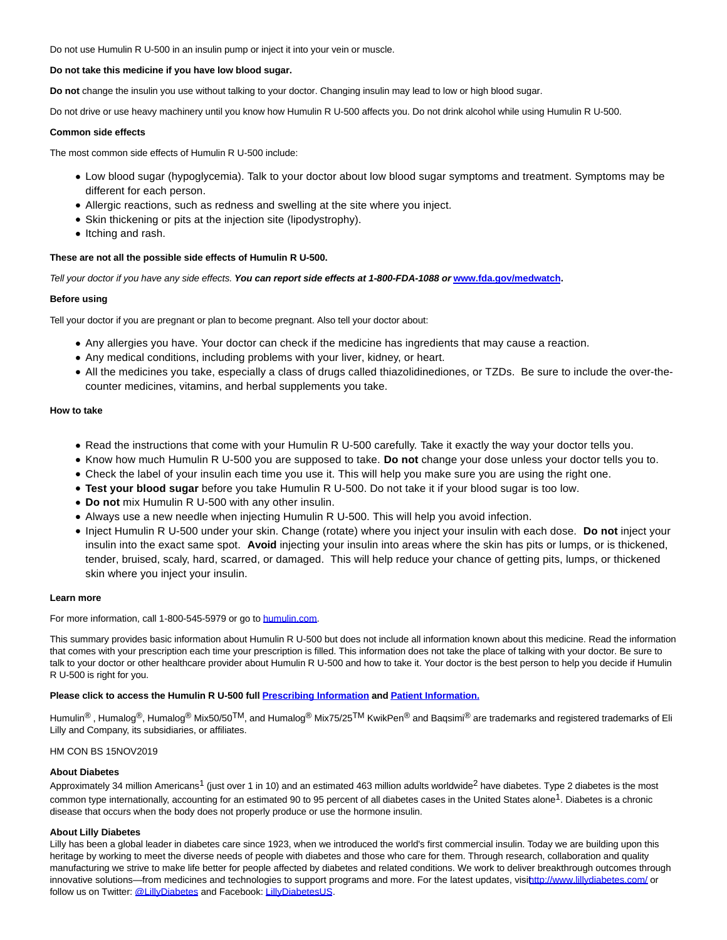Do not use Humulin R U-500 in an insulin pump or inject it into your vein or muscle.

#### **Do not take this medicine if you have low blood sugar.**

**Do not** change the insulin you use without talking to your doctor. Changing insulin may lead to low or high blood sugar.

Do not drive or use heavy machinery until you know how Humulin R U-500 affects you. Do not drink alcohol while using Humulin R U-500.

### **Common side effects**

The most common side effects of Humulin R U-500 include:

- Low blood sugar (hypoglycemia). Talk to your doctor about low blood sugar symptoms and treatment. Symptoms may be different for each person.
- Allergic reactions, such as redness and swelling at the site where you inject.
- Skin thickening or pits at the injection site (lipodystrophy).
- Itching and rash.

#### **These are not all the possible side effects of Humulin R U-500.**

Tell your doctor if you have any side effects. **You can report side effects at 1-800-FDA-1088 or [www.fda.gov/medwatch.](https://c212.net/c/link/?t=0&l=en&o=2770449-1&h=3606500974&u=https%3A%2F%2Fwww.fda.gov%2FSafety%2FMedWatch%2Fdefault.htm&a=www.fda.gov%2Fmedwatch)**

### **Before using**

Tell your doctor if you are pregnant or plan to become pregnant. Also tell your doctor about:

- Any allergies you have. Your doctor can check if the medicine has ingredients that may cause a reaction.
- Any medical conditions, including problems with your liver, kidney, or heart.
- All the medicines you take, especially a class of drugs called thiazolidinediones, or TZDs. Be sure to include the over-thecounter medicines, vitamins, and herbal supplements you take.

### **How to take**

- Read the instructions that come with your Humulin R U-500 carefully. Take it exactly the way your doctor tells you.
- Know how much Humulin R U-500 you are supposed to take. **Do not** change your dose unless your doctor tells you to.
- Check the label of your insulin each time you use it. This will help you make sure you are using the right one.
- **Test your blood sugar** before you take Humulin R U-500. Do not take it if your blood sugar is too low.
- **Do not** mix Humulin R U-500 with any other insulin.
- Always use a new needle when injecting Humulin R U-500. This will help you avoid infection.
- Inject Humulin R U-500 under your skin. Change (rotate) where you inject your insulin with each dose. **Do not** inject your insulin into the exact same spot. **Avoid** injecting your insulin into areas where the skin has pits or lumps, or is thickened, tender, bruised, scaly, hard, scarred, or damaged. This will help reduce your chance of getting pits, lumps, or thickened skin where you inject your insulin.

#### **Learn more**

For more information, call 1-800-545-5979 or go to [humulin.com.](https://c212.net/c/link/?t=0&l=en&o=2770449-1&h=1585089191&u=https%3A%2F%2Fwww.humulin.com%2F&a=humulin.com)

This summary provides basic information about Humulin R U-500 but does not include all information known about this medicine. Read the information that comes with your prescription each time your prescription is filled. This information does not take the place of talking with your doctor. Be sure to talk to your doctor or other healthcare provider about Humulin R U-500 and how to take it. Your doctor is the best person to help you decide if Humulin R U-500 is right for you.

#### **Please click to access the Humulin R U-500 ful[l Prescribing Information a](https://c212.net/c/link/?t=0&l=en&o=2770449-1&h=2695263955&u=http%3A%2F%2Fuspl.lilly.com%2Fhumulinru500%2Fhumulinru500.html%3Fs%3Dpi&a=Prescribing+Information)n[d Patient Information.](https://c212.net/c/link/?t=0&l=en&o=2770449-1&h=3926276095&u=http%3A%2F%2Fuspl.lilly.com%2Fhumulinru500%2Fhumulinru500.html%3Fs%3Dppi&a=Patient+Information.)**

Humulin<sup>®</sup> , Humalog<sup>®</sup>, Humalog<sup>®</sup> Mix50/50<sup>TM</sup>, and Humalog<sup>®</sup> Mix75/25<sup>TM</sup> KwikPen<sup>®</sup> and Baqsimi<sup>®</sup> are trademarks and registered trademarks of Eli Lilly and Company, its subsidiaries, or affiliates.

#### HM CON BS 15NOV2019

#### **About Diabetes**

Approximately 34 million Americans<sup>1</sup> (just over 1 in 10) and an estimated 463 million adults worldwide<sup>2</sup> have diabetes. Type 2 diabetes is the most common type internationally, accounting for an estimated 90 to 95 percent of all diabetes cases in the United States alone1. Diabetes is a chronic disease that occurs when the body does not properly produce or use the hormone insulin.

### **About Lilly Diabetes**

Lilly has been a global leader in diabetes care since 1923, when we introduced the world's first commercial insulin. Today we are building upon this heritage by working to meet the diverse needs of people with diabetes and those who care for them. Through research, collaboration and quality manufacturing we strive to make life better for people affected by diabetes and related conditions. We work to deliver breakthrough outcomes through innovative solutions—from medicines and technologies to support programs and more. For the latest updates, visitutto://www.lillydiabetes.com/ or follow us on Twitter: [@LillyDiabetes a](https://c212.net/c/link/?t=0&l=en&o=2770449-1&h=4242424643&u=https%3A%2F%2Fc212.net%2Fc%2Flink%2F%3Ft%3D0%26l%3Den%26o%3D2727845-1%26h%3D633311245%26u%3Dhttps%253A%252F%252Ftwitter.com%252FLillyDiabetes%26a%3D%2540LillyDiabetes&a=%40LillyDiabetes)nd Facebook: [LillyDiabetesUS.](https://c212.net/c/link/?t=0&l=en&o=2770449-1&h=3460255778&u=https%3A%2F%2Fc212.net%2Fc%2Flink%2F%3Ft%3D0%26l%3Den%26o%3D2727845-1%26h%3D1461357238%26u%3Dhttps%253A%252F%252Fwww.facebook.com%252FLillyDiabetesUS%252F%26a%3DLillyDiabetesUS&a=LillyDiabetesUS)